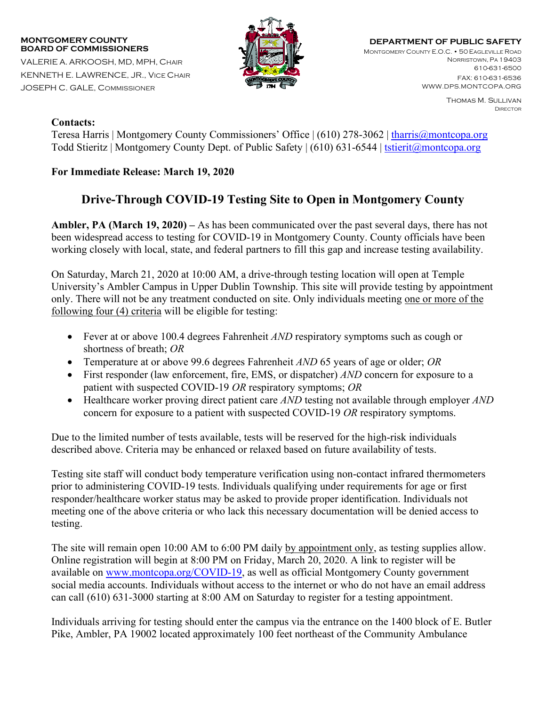## **MONTGOMERY COUNTY BOARD OF COMMISSIONERS**

VALERIE A. ARKOOSH, MD, MPH, CHAIR KENNETH E. LAWRENCE, JR., VICE CHAIR JOSEPH C. GALE, COMMISSIONER



**DEPARTMENT OF PUBLIC SAFETY** MONTGOMERY COUNTY E.O.C. • 50 EAGLEVILLE ROAD NORRISTOWN, PA 19403 610-631-6500 FAX: 610-631-6536

> Thomas M. Sullivan DIRECTOR

WWW.DPS.MONTCOPA.ORG

## **Contacts:**

Teresa Harris | Montgomery County Commissioners' Office | (610) 278-3062 | [tharris@montcopa.org](mailto:tharris@montcopa.org) Todd Stieritz | Montgomery County Dept. of Public Safety | (610) 631-6544 | [tstierit@montcopa.org](mailto:tstierit@montcopa.org)

## **For Immediate Release: March 19, 2020**

## **Drive-Through COVID-19 Testing Site to Open in Montgomery County**

**Ambler, PA (March 19, 2020) –** As has been communicated over the past several days, there has not been widespread access to testing for COVID-19 in Montgomery County. County officials have been working closely with local, state, and federal partners to fill this gap and increase testing availability.

On Saturday, March 21, 2020 at 10:00 AM, a drive-through testing location will open at Temple University's Ambler Campus in Upper Dublin Township. This site will provide testing by appointment only. There will not be any treatment conducted on site. Only individuals meeting one or more of the following four (4) criteria will be eligible for testing:

- Fever at or above 100.4 degrees Fahrenheit *AND* respiratory symptoms such as cough or shortness of breath; *OR*
- Temperature at or above 99.6 degrees Fahrenheit *AND* 65 years of age or older; *OR*
- First responder (law enforcement, fire, EMS, or dispatcher) *AND* concern for exposure to a patient with suspected COVID-19 *OR* respiratory symptoms; *OR*
- Healthcare worker proving direct patient care *AND* testing not available through employer *AND* concern for exposure to a patient with suspected COVID-19 *OR* respiratory symptoms.

Due to the limited number of tests available, tests will be reserved for the high-risk individuals described above. Criteria may be enhanced or relaxed based on future availability of tests.

Testing site staff will conduct body temperature verification using non-contact infrared thermometers prior to administering COVID-19 tests. Individuals qualifying under requirements for age or first responder/healthcare worker status may be asked to provide proper identification. Individuals not meeting one of the above criteria or who lack this necessary documentation will be denied access to testing.

The site will remain open 10:00 AM to 6:00 PM daily by appointment only, as testing supplies allow. Online registration will begin at 8:00 PM on Friday, March 20, 2020. A link to register will be available on [www.montcopa.org/COVID-19,](http://www.montcopa.org/COVID-19) as well as official Montgomery County government social media accounts. Individuals without access to the internet or who do not have an email address can call (610) 631-3000 starting at 8:00 AM on Saturday to register for a testing appointment.

Individuals arriving for testing should enter the campus via the entrance on the 1400 block of E. Butler Pike, Ambler, PA 19002 located approximately 100 feet northeast of the Community Ambulance